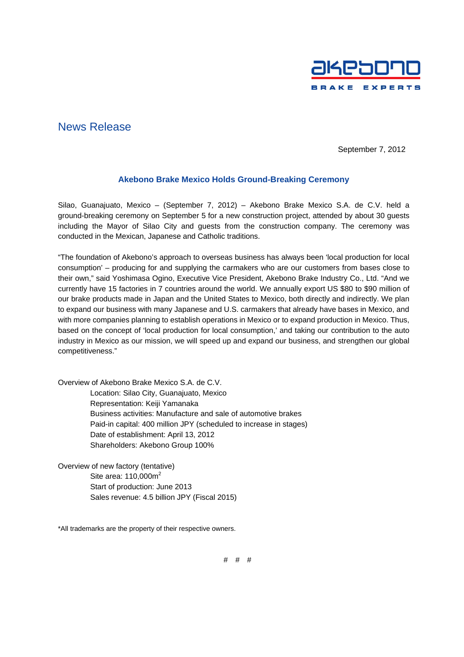

## News Release

September 7, 2012

## **Akebono Brake Mexico Holds Ground-Breaking Ceremony**

Silao, Guanajuato, Mexico – (September 7, 2012) – Akebono Brake Mexico S.A. de C.V. held a ground-breaking ceremony on September 5 for a new construction project, attended by about 30 guests including the Mayor of Silao City and guests from the construction company. The ceremony was conducted in the Mexican, Japanese and Catholic traditions.

"The foundation of Akebono's approach to overseas business has always been 'local production for local consumption' – producing for and supplying the carmakers who are our customers from bases close to their own," said Yoshimasa Ogino, Executive Vice President, Akebono Brake Industry Co., Ltd. "And we currently have 15 factories in 7 countries around the world. We annually export US \$80 to \$90 million of our brake products made in Japan and the United States to Mexico, both directly and indirectly. We plan to expand our business with many Japanese and U.S. carmakers that already have bases in Mexico, and with more companies planning to establish operations in Mexico or to expand production in Mexico. Thus, based on the concept of 'local production for local consumption,' and taking our contribution to the auto industry in Mexico as our mission, we will speed up and expand our business, and strengthen our global competitiveness."

Overview of Akebono Brake Mexico S.A. de C.V.

Location: Silao City, Guanajuato, Mexico Representation: Keiji Yamanaka Business activities: Manufacture and sale of automotive brakes Paid-in capital: 400 million JPY (scheduled to increase in stages) Date of establishment: April 13, 2012 Shareholders: Akebono Group 100%

Overview of new factory (tentative) Site area:  $110,000m^2$ Start of production: June 2013 Sales revenue: 4.5 billion JPY (Fiscal 2015)

\*All trademarks are the property of their respective owners.

# # #